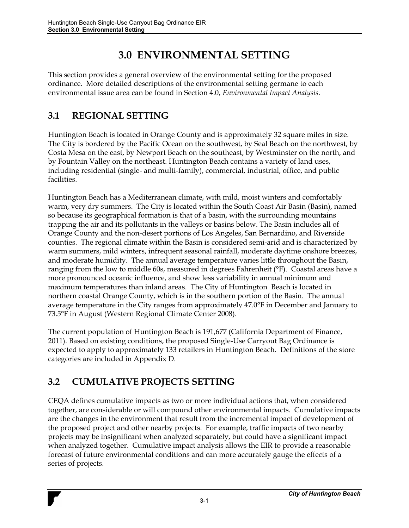## **3.0 ENVIRONMENTAL SETTING**

This section provides a general overview of the environmental setting for the proposed ordinance. More detailed descriptions of the environmental setting germane to each environmental issue area can be found in Section 4.0, *Environmental Impact Analysis*.

## **3.1 REGIONAL SETTING**

Huntington Beach is located in Orange County and is approximately 32 square miles in size. The City is bordered by the Pacific Ocean on the southwest, by Seal Beach on the northwest, by Costa Mesa on the east, by Newport Beach on the southeast, by Westminster on the north, and by Fountain Valley on the northeast. Huntington Beach contains a variety of land uses, including residential (single- and multi-family), commercial, industrial, office, and public facilities.

Huntington Beach has a Mediterranean climate, with mild, moist winters and comfortably warm, very dry summers. The City is located within the South Coast Air Basin (Basin), named so because its geographical formation is that of a basin, with the surrounding mountains trapping the air and its pollutants in the valleys or basins below. The Basin includes all of Orange County and the non-desert portions of Los Angeles, San Bernardino, and Riverside counties. The regional climate within the Basin is considered semi-arid and is characterized by warm summers, mild winters, infrequent seasonal rainfall, moderate daytime onshore breezes, and moderate humidity. The annual average temperature varies little throughout the Basin, ranging from the low to middle 60s, measured in degrees Fahrenheit (°F). Coastal areas have a more pronounced oceanic influence, and show less variability in annual minimum and maximum temperatures than inland areas. The City of Huntington Beach is located in northern coastal Orange County, which is in the southern portion of the Basin. The annual average temperature in the City ranges from approximately 47.0°F in December and January to 73.5°F in August (Western Regional Climate Center 2008).

The current population of Huntington Beach is 191,677 (California Department of Finance, 2011). Based on existing conditions, the proposed Single-Use Carryout Bag Ordinance is expected to apply to approximately 133 retailers in Huntington Beach. Definitions of the store categories are included in Appendix D.

## **3.2 CUMULATIVE PROJECTS SETTING**

CEQA defines cumulative impacts as two or more individual actions that, when considered together, are considerable or will compound other environmental impacts. Cumulative impacts are the changes in the environment that result from the incremental impact of development of the proposed project and other nearby projects. For example, traffic impacts of two nearby projects may be insignificant when analyzed separately, but could have a significant impact when analyzed together. Cumulative impact analysis allows the EIR to provide a reasonable forecast of future environmental conditions and can more accurately gauge the effects of a series of projects.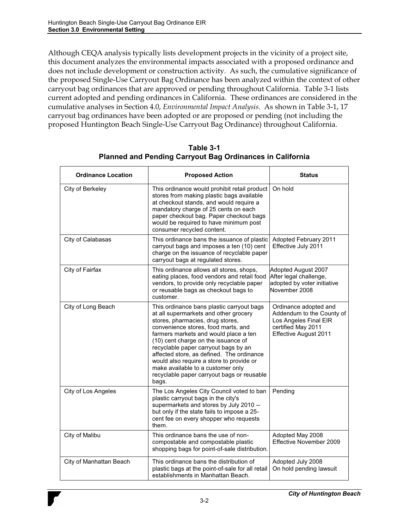Although CEQA analysis typically lists development projects in the vicinity of a project site, this document analyzes the environmental impacts associated with a proposed ordinance and does not include development or construction activity. As such, the cumulative significance of the proposed Single-Use Carryout Bag Ordinance has been analyzed within the context of other carryout bag ordinances that are approved or pending throughout California. Table 3-1 lists current adopted and pending ordinances in California. These ordinances are considered in the cumulative analyses in Section 4.0, *Environmental Impact Analysis.* As shown in Table 3-1, 17 carryout bag ordinances have been adopted or are proposed or pending (not including the proposed Huntington Beach Single-Use Carryout Bag Ordinance) throughout California.

| <b>Ordinance Location</b> | <b>Proposed Action</b>                                                                                                                                                                                                                                                                                                                                                                                                                                                     | <b>Status</b>                                                                                                              |
|---------------------------|----------------------------------------------------------------------------------------------------------------------------------------------------------------------------------------------------------------------------------------------------------------------------------------------------------------------------------------------------------------------------------------------------------------------------------------------------------------------------|----------------------------------------------------------------------------------------------------------------------------|
| City of Berkeley          | This ordinance would prohibit retail product<br>stores from making plastic bags available<br>at checkout stands, and would require a<br>mandatory charge of 25 cents on each<br>paper checkout bag. Paper checkout bags<br>would be required to have minimum post<br>consumer recycled content.                                                                                                                                                                            | On hold                                                                                                                    |
| City of Calabasas         | This ordinance bans the issuance of plastic<br>carryout bags and imposes a ten (10) cent<br>charge on the issuance of recyclable paper<br>carryout bags at regulated stores.                                                                                                                                                                                                                                                                                               | Adopted February 2011<br>Effective July 2011                                                                               |
| City of Fairfax           | This ordinance allows all stores, shops,<br>eating places, food vendors and retail food<br>vendors, to provide only recyclable paper<br>or reusable bags as checkout bags to<br>customer.                                                                                                                                                                                                                                                                                  | Adopted August 2007<br>After legal challenge,<br>adopted by voter initiative<br>November 2008                              |
| City of Long Beach        | This ordinance bans plastic carryout bags<br>at all supermarkets and other grocery<br>stores, pharmacies, drug stores,<br>convenience stores, food marts, and<br>farmers markets and would place a ten<br>(10) cent charge on the issuance of<br>recyclable paper carryout bags by an<br>affected store, as defined. The ordinance<br>would also require a store to provide or<br>make available to a customer only<br>recyclable paper carryout bags or reusable<br>bags. | Ordinance adopted and<br>Addendum to the County of<br>Los Angeles Final EIR<br>certified May 2011<br>Effective August 2011 |
| City of Los Angeles       | The Los Angeles City Council voted to ban<br>plastic carryout bags in the city's<br>supermarkets and stores by July 2010 --<br>but only if the state fails to impose a 25-<br>cent fee on every shopper who requests<br>them.                                                                                                                                                                                                                                              | Pending                                                                                                                    |
| City of Malibu            | This ordinance bans the use of non-<br>compostable and compostable plastic<br>shopping bags for point-of-sale distribution.                                                                                                                                                                                                                                                                                                                                                | Adopted May 2008<br>Effective November 2009                                                                                |
| City of Manhattan Beach   | This ordinance bans the distribution of<br>plastic bags at the point-of-sale for all retail<br>establishments in Manhattan Beach.                                                                                                                                                                                                                                                                                                                                          | Adopted July 2008<br>On hold pending lawsuit                                                                               |

**Table 3-1 Planned and Pending Carryout Bag Ordinances in California**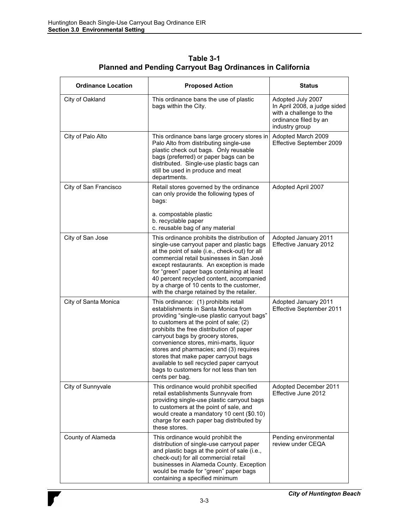| <b>Ordinance Location</b> | <b>Proposed Action</b>                                                                                                                                                                                                                                                                                                                                                                                                                                                                       | <b>Status</b>                                                                                                           |
|---------------------------|----------------------------------------------------------------------------------------------------------------------------------------------------------------------------------------------------------------------------------------------------------------------------------------------------------------------------------------------------------------------------------------------------------------------------------------------------------------------------------------------|-------------------------------------------------------------------------------------------------------------------------|
| City of Oakland           | This ordinance bans the use of plastic<br>bags within the City.                                                                                                                                                                                                                                                                                                                                                                                                                              | Adopted July 2007<br>In April 2008, a judge sided<br>with a challenge to the<br>ordinance filed by an<br>industry group |
| City of Palo Alto         | This ordinance bans large grocery stores in<br>Palo Alto from distributing single-use<br>plastic check out bags. Only reusable<br>bags (preferred) or paper bags can be<br>distributed. Single-use plastic bags can<br>still be used in produce and meat<br>departments.                                                                                                                                                                                                                     | Adopted March 2009<br>Effective September 2009                                                                          |
| City of San Francisco     | Retail stores governed by the ordinance<br>can only provide the following types of<br>bags:<br>a. compostable plastic<br>b. recyclable paper<br>c. reusable bag of any material                                                                                                                                                                                                                                                                                                              | Adopted April 2007                                                                                                      |
| City of San Jose          | This ordinance prohibits the distribution of<br>single-use carryout paper and plastic bags<br>at the point of sale (i.e., check-out) for all<br>commercial retail businesses in San José<br>except restaurants. An exception is made<br>for "green" paper bags containing at least<br>40 percent recycled content, accompanied<br>by a charge of 10 cents to the customer,<br>with the charge retained by the retailer.                                                                      | Adopted January 2011<br>Effective January 2012                                                                          |
| City of Santa Monica      | This ordinance: (1) prohibits retail<br>establishments in Santa Monica from<br>providing "single-use plastic carryout bags"<br>to customers at the point of sale; (2)<br>prohibits the free distribution of paper<br>carryout bags by grocery stores,<br>convenience stores, mini-marts, liquor<br>stores and pharmacies; and (3) requires<br>stores that make paper carryout bags<br>available to sell recycled paper carryout<br>bags to customers for not less than ten<br>cents per bag. | Adopted January 2011<br>Effective September 2011                                                                        |
| City of Sunnyvale         | This ordinance would prohibit specified<br>retail establishments Sunnyvale from<br>providing single-use plastic carryout bags<br>to customers at the point of sale, and<br>would create a mandatory 10 cent (\$0.10)<br>charge for each paper bag distributed by<br>these stores.                                                                                                                                                                                                            | Adopted December 2011<br>Effective June 2012                                                                            |
| County of Alameda         | This ordinance would prohibit the<br>distribution of single-use carryout paper<br>and plastic bags at the point of sale (i.e.,<br>check-out) for all commercial retail<br>businesses in Alameda County. Exception<br>would be made for "green" paper bags<br>containing a specified minimum                                                                                                                                                                                                  | Pending environmental<br>review under CEQA                                                                              |

**Table 3-1 Planned and Pending Carryout Bag Ordinances in California**